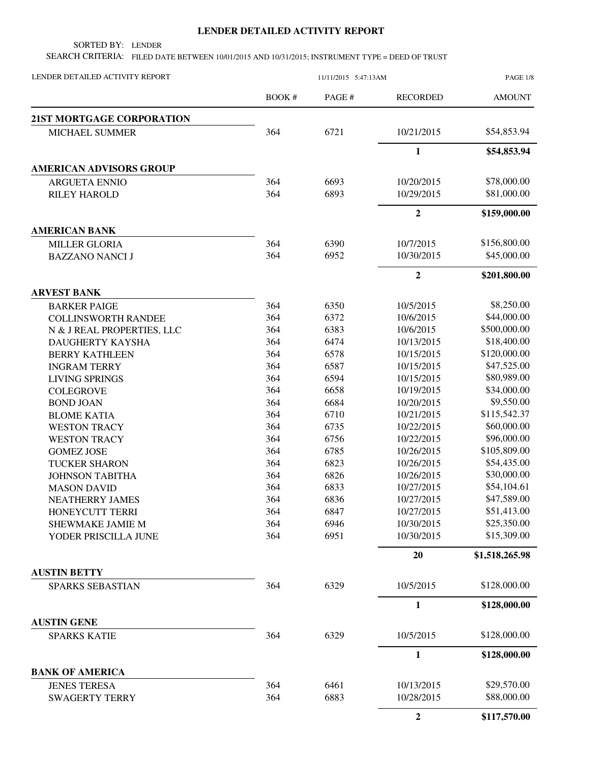## **LENDER DETAILED ACTIVITY REPORT**

SORTED BY: LENDER

SEARCH CRITERIA: FILED DATE BETWEEN 10/01/2015 AND 10/31/2015; INSTRUMENT TYPE = DEED OF TRUST

| LENDER DETAILED ACTIVITY REPORT                | 11/11/2015 5:47:13AM |        |                  | PAGE 1/8       |
|------------------------------------------------|----------------------|--------|------------------|----------------|
|                                                | BOOK #               | PAGE # | <b>RECORDED</b>  | <b>AMOUNT</b>  |
| <b>21ST MORTGAGE CORPORATION</b>               |                      |        |                  |                |
| MICHAEL SUMMER                                 | 364                  | 6721   | 10/21/2015       | \$54,853.94    |
|                                                |                      |        | $\mathbf{1}$     | \$54,853.94    |
| <b>AMERICAN ADVISORS GROUP</b>                 |                      |        |                  |                |
| <b>ARGUETA ENNIO</b>                           | 364                  | 6693   | 10/20/2015       | \$78,000.00    |
| <b>RILEY HAROLD</b>                            | 364                  | 6893   | 10/29/2015       | \$81,000.00    |
|                                                |                      |        | $\overline{2}$   | \$159,000.00   |
| <b>AMERICAN BANK</b>                           |                      |        |                  |                |
| <b>MILLER GLORIA</b>                           | 364                  | 6390   | 10/7/2015        | \$156,800.00   |
| <b>BAZZANO NANCI J</b>                         | 364                  | 6952   | 10/30/2015       | \$45,000.00    |
|                                                |                      |        | $\boldsymbol{2}$ | \$201,800.00   |
| <b>ARVEST BANK</b>                             |                      |        |                  |                |
| <b>BARKER PAIGE</b>                            | 364                  | 6350   | 10/5/2015        | \$8,250.00     |
| <b>COLLINSWORTH RANDEE</b>                     | 364                  | 6372   | 10/6/2015        | \$44,000.00    |
| N & J REAL PROPERTIES, LLC                     | 364                  | 6383   | 10/6/2015        | \$500,000.00   |
| <b>DAUGHERTY KAYSHA</b>                        | 364                  | 6474   | 10/13/2015       | \$18,400.00    |
| <b>BERRY KATHLEEN</b>                          | 364                  | 6578   | 10/15/2015       | \$120,000.00   |
| <b>INGRAM TERRY</b>                            | 364                  | 6587   | 10/15/2015       | \$47,525.00    |
| <b>LIVING SPRINGS</b>                          | 364                  | 6594   | 10/15/2015       | \$80,989.00    |
| <b>COLEGROVE</b>                               | 364                  | 6658   | 10/19/2015       | \$34,000.00    |
| <b>BOND JOAN</b>                               | 364                  | 6684   | 10/20/2015       | \$9,550.00     |
| <b>BLOME KATIA</b>                             | 364                  | 6710   | 10/21/2015       | \$115,542.37   |
| <b>WESTON TRACY</b>                            | 364                  | 6735   | 10/22/2015       | \$60,000.00    |
| <b>WESTON TRACY</b>                            | 364                  | 6756   | 10/22/2015       | \$96,000.00    |
| <b>GOMEZ JOSE</b>                              | 364                  | 6785   | 10/26/2015       | \$105,809.00   |
| <b>TUCKER SHARON</b>                           | 364                  | 6823   | 10/26/2015       | \$54,435.00    |
| <b>JOHNSON TABITHA</b>                         | 364                  | 6826   | 10/26/2015       | \$30,000.00    |
| <b>MASON DAVID</b>                             | 364                  | 6833   | 10/27/2015       | \$54,104.61    |
| <b>NEATHERRY JAMES</b>                         | 364                  | 6836   | 10/27/2015       | \$47,589.00    |
| HONEYCUTT TERRI                                | 364                  | 6847   | 10/27/2015       | \$51,413.00    |
| SHEWMAKE JAMIE M                               | 364                  | 6946   | 10/30/2015       | \$25,350.00    |
| YODER PRISCILLA JUNE                           | 364                  | 6951   | 10/30/2015       | \$15,309.00    |
|                                                |                      |        | 20               | \$1,518,265.98 |
| <b>AUSTIN BETTY</b><br><b>SPARKS SEBASTIAN</b> | 364                  | 6329   | 10/5/2015        | \$128,000.00   |
|                                                |                      |        |                  |                |
|                                                |                      |        | 1                | \$128,000.00   |
| <b>AUSTIN GENE</b><br><b>SPARKS KATIE</b>      | 364                  | 6329   | 10/5/2015        | \$128,000.00   |
|                                                |                      |        | $\mathbf{1}$     | \$128,000.00   |
| <b>BANK OF AMERICA</b>                         |                      |        |                  |                |
| <b>JENES TERESA</b>                            | 364                  | 6461   | 10/13/2015       | \$29,570.00    |
| <b>SWAGERTY TERRY</b>                          | 364                  | 6883   | 10/28/2015       | \$88,000.00    |
|                                                |                      |        | $\overline{2}$   | \$117,570.00   |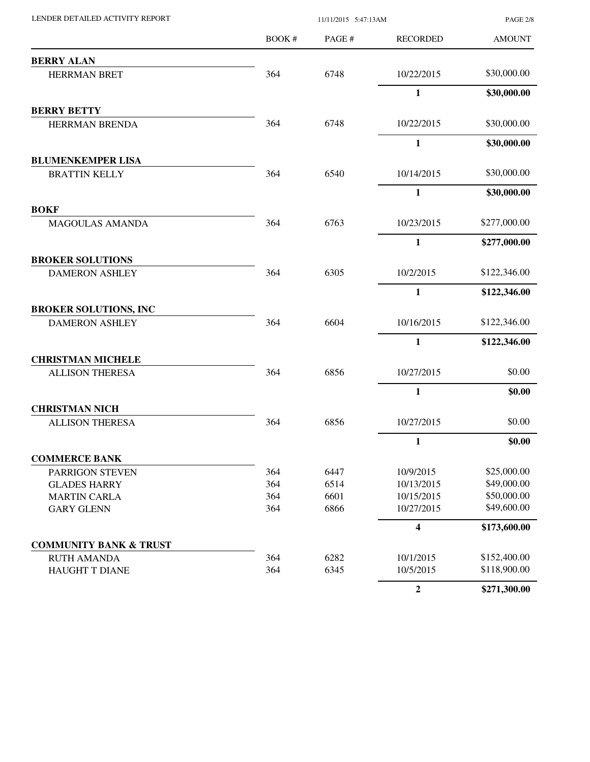| LENDER DETAILED ACTIVITY REPORT                  |        | 11/11/2015 5:47:13AM |                         |               |
|--------------------------------------------------|--------|----------------------|-------------------------|---------------|
|                                                  | BOOK # | PAGE #               | <b>RECORDED</b>         | <b>AMOUNT</b> |
| <b>BERRY ALAN</b>                                |        |                      |                         |               |
| <b>HERRMAN BRET</b>                              | 364    | 6748                 | 10/22/2015              | \$30,000.00   |
|                                                  |        |                      | $\mathbf{1}$            | \$30,000.00   |
| <b>BERRY BETTY</b>                               |        |                      |                         |               |
| HERRMAN BRENDA                                   | 364    | 6748                 | 10/22/2015              | \$30,000.00   |
|                                                  |        |                      | $\mathbf{1}$            | \$30,000.00   |
| <b>BLUMENKEMPER LISA</b>                         |        |                      |                         |               |
| <b>BRATTIN KELLY</b>                             | 364    | 6540                 | 10/14/2015              | \$30,000.00   |
|                                                  |        |                      | $\mathbf{1}$            | \$30,000.00   |
| <b>BOKF</b><br>MAGOULAS AMANDA                   | 364    | 6763                 | 10/23/2015              | \$277,000.00  |
|                                                  |        |                      | $\mathbf{1}$            | \$277,000.00  |
|                                                  |        |                      |                         |               |
| <b>BROKER SOLUTIONS</b><br><b>DAMERON ASHLEY</b> | 364    | 6305                 | 10/2/2015               | \$122,346.00  |
|                                                  |        |                      | $\mathbf{1}$            | \$122,346.00  |
| <b>BROKER SOLUTIONS, INC</b>                     |        |                      |                         |               |
| <b>DAMERON ASHLEY</b>                            | 364    | 6604                 | 10/16/2015              | \$122,346.00  |
|                                                  |        |                      | $\mathbf{1}$            | \$122,346.00  |
| <b>CHRISTMAN MICHELE</b>                         |        |                      |                         |               |
| <b>ALLISON THERESA</b>                           | 364    | 6856                 | 10/27/2015              | \$0.00        |
|                                                  |        |                      | $\mathbf{1}$            | \$0.00        |
| <b>CHRISTMAN NICH</b>                            |        |                      |                         |               |
| <b>ALLISON THERESA</b>                           | 364    | 6856                 | 10/27/2015              | \$0.00        |
|                                                  |        |                      | 1                       | \$0.00        |
| <b>COMMERCE BANK</b>                             |        |                      |                         |               |
| <b>PARRIGON STEVEN</b>                           | 364    | 6447                 | 10/9/2015               | \$25,000.00   |
| <b>GLADES HARRY</b>                              | 364    | 6514                 | 10/13/2015              | \$49,000.00   |
| <b>MARTIN CARLA</b>                              | 364    | 6601                 | 10/15/2015              | \$50,000.00   |
| <b>GARY GLENN</b>                                | 364    | 6866                 | 10/27/2015              | \$49,600.00   |
|                                                  |        |                      | $\overline{\mathbf{4}}$ | \$173,600.00  |
| <b>COMMUNITY BANK &amp; TRUST</b>                |        |                      |                         |               |
| <b>RUTH AMANDA</b>                               | 364    | 6282                 | 10/1/2015               | \$152,400.00  |
| HAUGHT T DIANE                                   | 364    | 6345                 | 10/5/2015               | \$118,900.00  |
|                                                  |        |                      | $\overline{2}$          | \$271,300.00  |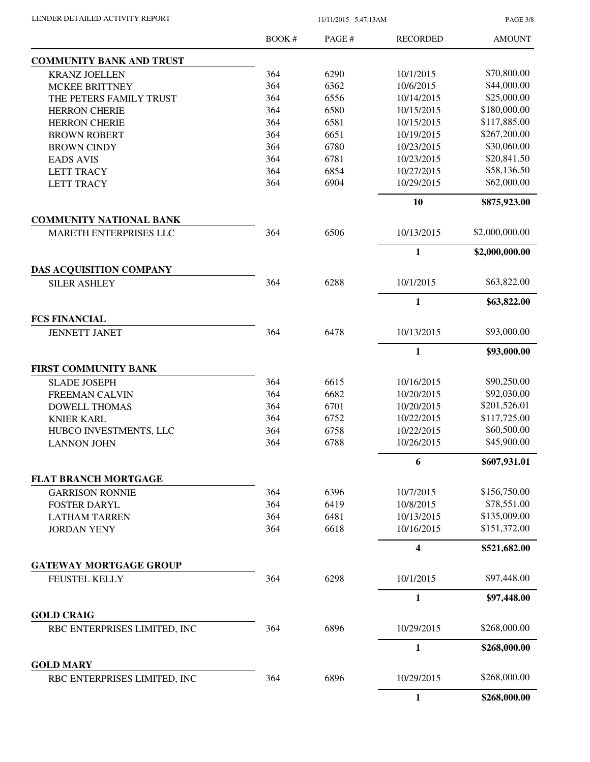PAGE 3/8

|                                                       | BOOK# | PAGE # | <b>RECORDED</b> | <b>AMOUNT</b>  |
|-------------------------------------------------------|-------|--------|-----------------|----------------|
| <b>COMMUNITY BANK AND TRUST</b>                       |       |        |                 |                |
| <b>KRANZ JOELLEN</b>                                  | 364   | 6290   | 10/1/2015       | \$70,800.00    |
| <b>MCKEE BRITTNEY</b>                                 | 364   | 6362   | 10/6/2015       | \$44,000.00    |
| THE PETERS FAMILY TRUST                               | 364   | 6556   | 10/14/2015      | \$25,000.00    |
| <b>HERRON CHERIE</b>                                  | 364   | 6580   | 10/15/2015      | \$180,000.00   |
| <b>HERRON CHERIE</b>                                  | 364   | 6581   | 10/15/2015      | \$117,885.00   |
| <b>BROWN ROBERT</b>                                   | 364   | 6651   | 10/19/2015      | \$267,200.00   |
| <b>BROWN CINDY</b>                                    | 364   | 6780   | 10/23/2015      | \$30,060.00    |
| <b>EADS AVIS</b>                                      | 364   | 6781   | 10/23/2015      | \$20,841.50    |
| <b>LETT TRACY</b>                                     | 364   | 6854   | 10/27/2015      | \$58,136.50    |
| <b>LETT TRACY</b>                                     | 364   | 6904   | 10/29/2015      | \$62,000.00    |
|                                                       |       |        | 10              | \$875,923.00   |
| <b>COMMUNITY NATIONAL BANK</b>                        |       |        |                 |                |
| MARETH ENTERPRISES LLC                                | 364   | 6506   | 10/13/2015      | \$2,000,000.00 |
|                                                       |       |        | $\mathbf{1}$    | \$2,000,000.00 |
| <b>DAS ACQUISITION COMPANY</b><br><b>SILER ASHLEY</b> | 364   | 6288   | 10/1/2015       | \$63,822.00    |
|                                                       |       |        | 1               | \$63,822.00    |
|                                                       |       |        |                 |                |
| <b>FCS FINANCIAL</b><br><b>JENNETT JANET</b>          | 364   | 6478   | 10/13/2015      | \$93,000.00    |
|                                                       |       |        | $\mathbf{1}$    | \$93,000.00    |
| FIRST COMMUNITY BANK                                  |       |        |                 |                |
| <b>SLADE JOSEPH</b>                                   | 364   | 6615   | 10/16/2015      | \$90,250.00    |
| <b>FREEMAN CALVIN</b>                                 | 364   | 6682   | 10/20/2015      | \$92,030.00    |
| <b>DOWELL THOMAS</b>                                  | 364   | 6701   | 10/20/2015      | \$201,526.01   |
| <b>KNIER KARL</b>                                     | 364   | 6752   | 10/22/2015      | \$117,725.00   |
| HUBCO INVESTMENTS, LLC                                | 364   | 6758   | 10/22/2015      | \$60,500.00    |
| <b>LANNON JOHN</b>                                    | 364   | 6788   | 10/26/2015      | \$45,900.00    |
|                                                       |       |        | 6               | \$607,931.01   |
| <b>FLAT BRANCH MORTGAGE</b>                           |       |        |                 |                |
| <b>GARRISON RONNIE</b>                                | 364   | 6396   | 10/7/2015       | \$156,750.00   |
| <b>FOSTER DARYL</b>                                   | 364   | 6419   | 10/8/2015       | \$78,551.00    |
| <b>LATHAM TARREN</b>                                  | 364   | 6481   | 10/13/2015      | \$135,009.00   |
| <b>JORDAN YENY</b>                                    | 364   | 6618   | 10/16/2015      | \$151,372.00   |
|                                                       |       |        | 4               | \$521,682.00   |
| <b>GATEWAY MORTGAGE GROUP</b>                         |       |        |                 |                |
| FEUSTEL KELLY                                         | 364   | 6298   | 10/1/2015       | \$97,448.00    |
|                                                       |       |        | $\mathbf{1}$    | \$97,448.00    |
| <b>GOLD CRAIG</b>                                     |       |        |                 |                |
| RBC ENTERPRISES LIMITED, INC                          | 364   | 6896   | 10/29/2015      | \$268,000.00   |
|                                                       |       |        | 1               | \$268,000.00   |
| <b>GOLD MARY</b><br>RBC ENTERPRISES LIMITED, INC      | 364   | 6896   | 10/29/2015      | \$268,000.00   |
|                                                       |       |        | 1               | \$268,000.00   |
|                                                       |       |        |                 |                |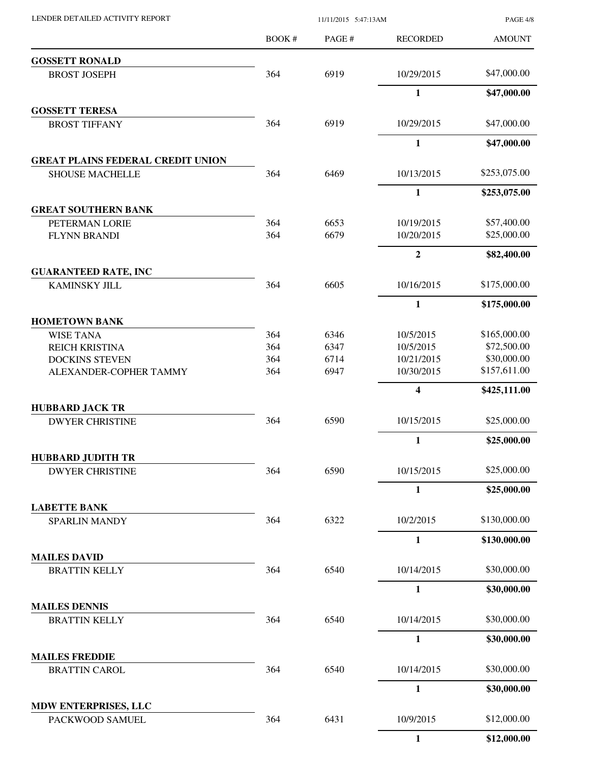BOOK # PAGE # AMOUNT RECORDED **GOSSETT RONALD** BROST JOSEPH 364 6919 10/29/2015 \$47,000.00 **1 \$47,000.00 GOSSETT TERESA** BROST TIFFANY 364 6919 10/29/2015 \$47,000.00 **1 \$47,000.00 GREAT PLAINS FEDERAL CREDIT UNION** SHOUSE MACHELLE 364 6469 10/13/2015 \$253,075.00 **1 \$253,075.00 GREAT SOUTHERN BANK** PETERMAN LORIE 364 6653 10/19/2015 \$57,400.00 FLYNN BRANDI 364 6679 10/20/2015 \$25,000.00 **2 \$82,400.00 GUARANTEED RATE, INC** KAMINSKY JILL 364 6605 10/16/2015 \$175,000.00 **1 \$175,000.00 HOMETOWN BANK** WISE TANA 5165,000.00 REICH KRISTINA 364 6347 10/5/2015 \$72,500.00 DOCKINS STEVEN 364 6714 10/21/2015 \$30,000.00 ALEXANDER-COPHER TAMMY 364 6947 10/30/2015 \$157,611.00 **4 \$425,111.00 HUBBARD JACK TR** DWYER CHRISTINE  $364$   $6590$   $10/15/2015$  \$25,000.00 **1 \$25,000.00 HUBBARD JUDITH TR** DWYER CHRISTINE 364 6590 10/15/2015 \$25,000.00 **1 \$25,000.00 LABETTE BANK** SPARLIN MANDY 364 6322 10/2/2015 \$130,000.00 **1 \$130,000.00 MAILES DAVID** BRATTIN KELLY 364 6540 10/14/2015 \$30,000.00 **1 \$30,000.00 MAILES DENNIS** BRATTIN KELLY 364 6540 10/14/2015 \$30,000.00 **1 \$30,000.00 MAILES FREDDIE** BRATTIN CAROL 364 6540 10/14/2015 \$30,000.00 **1 \$30,000.00 MDW ENTERPRISES, LLC** PACKWOOD SAMUEL 364 6431 10/9/2015 \$12,000.00 **1 \$12,000.00**

LENDER DETAILED ACTIVITY REPORT 11/11/2015 5:47:13AM

PAGE 4/8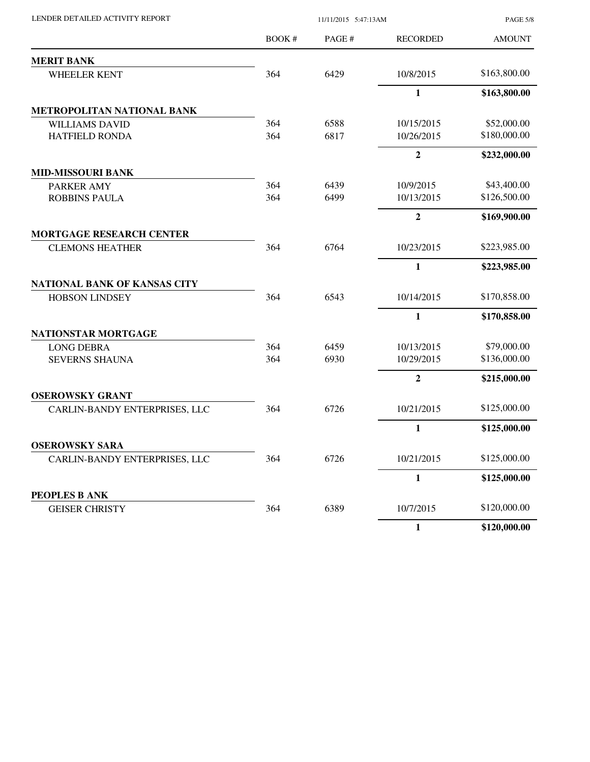BOOK # PAGE # PAGE 5/8 AMOUNT LENDER DETAILED ACTIVITY REPORT 11/11/2015 5:47:13AM RECORDED **MERIT BANK** WHEELER KENT 364 6429 10/8/2015 \$163,800.00 **1 \$163,800.00 METROPOLITAN NATIONAL BANK** WILLIAMS DAVID 364 6588 10/15/2015 \$52,000.00 HATFIELD RONDA 364 6817 10/26/2015 \$180,000.00 **2 \$232,000.00 MID-MISSOURI BANK** PARKER AMY 364 6439 10/9/2015 \$43,400.00 ROBBINS PAULA 364 6499 10/13/2015 \$126,500.00 **2 \$169,900.00 MORTGAGE RESEARCH CENTER** CLEMONS HEATHER  $\begin{array}{cccc} 364 & 6764 & 10/23/2015 & 223,985.00 \\ 364 & 6764 & 10/23/2015 & 523.985.00 \\ \end{array}$ **1 \$223,985.00 NATIONAL BANK OF KANSAS CITY** HOBSON LINDSEY 364 6543 10/14/2015 \$170,858.00 **1 \$170,858.00 NATIONSTAR MORTGAGE** LONG DEBRA 364 6459 10/13/2015 \$79,000.00 SEVERNS SHAUNA 364 6930 10/29/2015 \$136,000.00 **2 \$215,000.00 OSEROWSKY GRANT** CARLIN-BANDY ENTERPRISES, LLC 364 6726 10/21/2015 \$125,000.00 **1 \$125,000.00 OSEROWSKY SARA** CARLIN-BANDY ENTERPRISES, LLC 364 6726 10/21/2015 \$125,000.00 **1 \$125,000.00 PEOPLES B ANK** GEISER CHRISTY **364** 6389 10/7/2015 \$120,000.00 **1 \$120,000.00**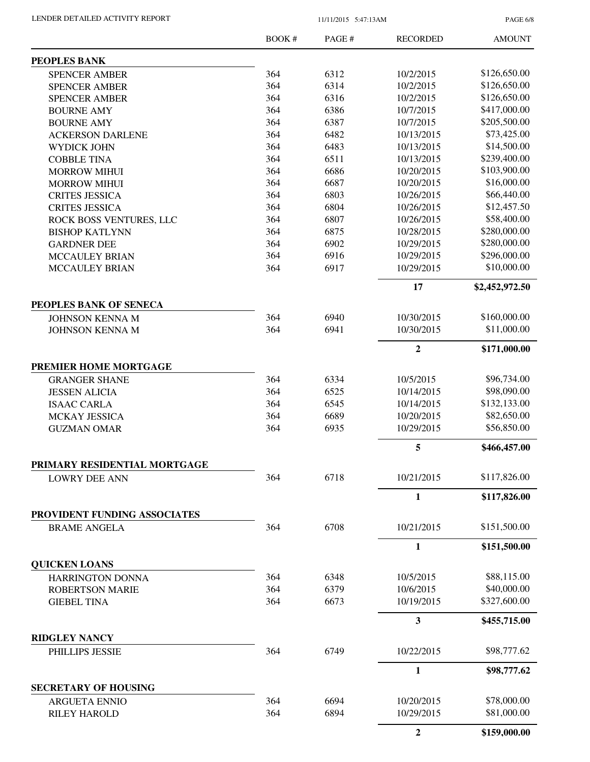PAGE 6/8

|                              | BOOK# | PAGE # | <b>RECORDED</b>  | <b>AMOUNT</b>  |
|------------------------------|-------|--------|------------------|----------------|
| <b>PEOPLES BANK</b>          |       |        |                  |                |
| <b>SPENCER AMBER</b>         | 364   | 6312   | 10/2/2015        | \$126,650.00   |
| <b>SPENCER AMBER</b>         | 364   | 6314   | 10/2/2015        | \$126,650.00   |
| <b>SPENCER AMBER</b>         | 364   | 6316   | 10/2/2015        | \$126,650.00   |
| <b>BOURNE AMY</b>            | 364   | 6386   | 10/7/2015        | \$417,000.00   |
| <b>BOURNE AMY</b>            | 364   | 6387   | 10/7/2015        | \$205,500.00   |
| <b>ACKERSON DARLENE</b>      | 364   | 6482   | 10/13/2015       | \$73,425.00    |
| <b>WYDICK JOHN</b>           | 364   | 6483   | 10/13/2015       | \$14,500.00    |
| <b>COBBLE TINA</b>           | 364   | 6511   | 10/13/2015       | \$239,400.00   |
| <b>MORROW MIHUI</b>          | 364   | 6686   | 10/20/2015       | \$103,900.00   |
| <b>MORROW MIHUI</b>          | 364   | 6687   | 10/20/2015       | \$16,000.00    |
| <b>CRITES JESSICA</b>        | 364   | 6803   | 10/26/2015       | \$66,440.00    |
| <b>CRITES JESSICA</b>        | 364   | 6804   | 10/26/2015       | \$12,457.50    |
| ROCK BOSS VENTURES, LLC      | 364   | 6807   | 10/26/2015       | \$58,400.00    |
| <b>BISHOP KATLYNN</b>        | 364   | 6875   | 10/28/2015       | \$280,000.00   |
| <b>GARDNER DEE</b>           | 364   | 6902   | 10/29/2015       | \$280,000.00   |
|                              | 364   | 6916   | 10/29/2015       | \$296,000.00   |
| <b>MCCAULEY BRIAN</b>        |       |        |                  |                |
| <b>MCCAULEY BRIAN</b>        | 364   | 6917   | 10/29/2015       | \$10,000.00    |
|                              |       |        | 17               | \$2,452,972.50 |
| PEOPLES BANK OF SENECA       |       |        |                  | \$160,000.00   |
| <b>JOHNSON KENNA M</b>       | 364   | 6940   | 10/30/2015       |                |
| <b>JOHNSON KENNA M</b>       | 364   | 6941   | 10/30/2015       | \$11,000.00    |
|                              |       |        | $\overline{2}$   | \$171,000.00   |
| PREMIER HOME MORTGAGE        |       |        |                  |                |
| <b>GRANGER SHANE</b>         | 364   | 6334   | 10/5/2015        | \$96,734.00    |
| <b>JESSEN ALICIA</b>         | 364   | 6525   | 10/14/2015       | \$98,090.00    |
| <b>ISAAC CARLA</b>           | 364   | 6545   | 10/14/2015       | \$132,133.00   |
| MCKAY JESSICA                | 364   | 6689   | 10/20/2015       | \$82,650.00    |
| <b>GUZMAN OMAR</b>           | 364   | 6935   | 10/29/2015       | \$56,850.00    |
|                              |       |        | 5                | \$466,457.00   |
| PRIMARY RESIDENTIAL MORTGAGE |       |        |                  |                |
| <b>LOWRY DEE ANN</b>         | 364   | 6718   | 10/21/2015       | \$117,826.00   |
|                              |       |        | $\mathbf{1}$     | \$117,826.00   |
| PROVIDENT FUNDING ASSOCIATES | 364   | 6708   | 10/21/2015       | \$151,500.00   |
| <b>BRAME ANGELA</b>          |       |        |                  |                |
|                              |       |        | 1                | \$151,500.00   |
| <b>QUICKEN LOANS</b>         |       |        |                  |                |
| HARRINGTON DONNA             | 364   | 6348   | 10/5/2015        | \$88,115.00    |
| <b>ROBERTSON MARIE</b>       | 364   | 6379   | 10/6/2015        | \$40,000.00    |
| <b>GIEBEL TINA</b>           | 364   | 6673   | 10/19/2015       | \$327,600.00   |
|                              |       |        | $\mathbf{3}$     | \$455,715.00   |
| <b>RIDGLEY NANCY</b>         |       |        |                  |                |
| PHILLIPS JESSIE              | 364   | 6749   | 10/22/2015       | \$98,777.62    |
|                              |       |        | 1                | \$98,777.62    |
| <b>SECRETARY OF HOUSING</b>  |       |        |                  |                |
| <b>ARGUETA ENNIO</b>         | 364   | 6694   | 10/20/2015       | \$78,000.00    |
| <b>RILEY HAROLD</b>          | 364   | 6894   | 10/29/2015       | \$81,000.00    |
|                              |       |        | $\boldsymbol{2}$ | \$159,000.00   |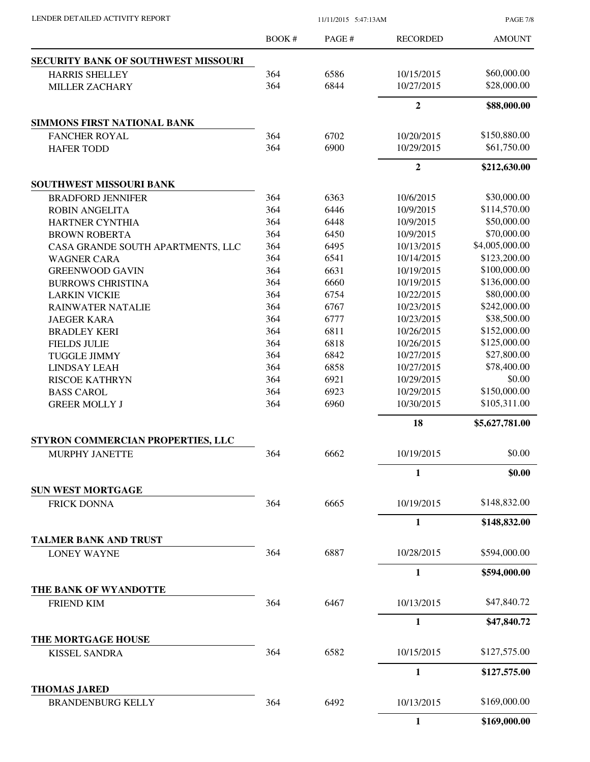PAGE 7/8

|                                                 | <b>BOOK#</b> | PAGE# | <b>RECORDED</b> | <b>AMOUNT</b>  |
|-------------------------------------------------|--------------|-------|-----------------|----------------|
| <b>SECURITY BANK OF SOUTHWEST MISSOURI</b>      |              |       |                 |                |
| <b>HARRIS SHELLEY</b>                           | 364          | 6586  | 10/15/2015      | \$60,000.00    |
| <b>MILLER ZACHARY</b>                           | 364          | 6844  | 10/27/2015      | \$28,000.00    |
|                                                 |              |       | $\overline{2}$  | \$88,000.00    |
| <b>SIMMONS FIRST NATIONAL BANK</b>              |              |       |                 |                |
| <b>FANCHER ROYAL</b>                            | 364          | 6702  | 10/20/2015      | \$150,880.00   |
| <b>HAFER TODD</b>                               | 364          | 6900  | 10/29/2015      | \$61,750.00    |
|                                                 |              |       | $\overline{2}$  | \$212,630.00   |
| SOUTHWEST MISSOURI BANK                         |              |       |                 |                |
| <b>BRADFORD JENNIFER</b>                        | 364          | 6363  | 10/6/2015       | \$30,000.00    |
| <b>ROBIN ANGELITA</b>                           | 364          | 6446  | 10/9/2015       | \$114,570.00   |
| <b>HARTNER CYNTHIA</b>                          | 364          | 6448  | 10/9/2015       | \$50,000.00    |
| <b>BROWN ROBERTA</b>                            | 364          | 6450  | 10/9/2015       | \$70,000.00    |
| CASA GRANDE SOUTH APARTMENTS, LLC               | 364          | 6495  | 10/13/2015      | \$4,005,000.00 |
| <b>WAGNER CARA</b>                              | 364          | 6541  | 10/14/2015      | \$123,200.00   |
| <b>GREENWOOD GAVIN</b>                          | 364          | 6631  | 10/19/2015      | \$100,000.00   |
| <b>BURROWS CHRISTINA</b>                        | 364          | 6660  | 10/19/2015      | \$136,000.00   |
| <b>LARKIN VICKIE</b>                            | 364          | 6754  | 10/22/2015      | \$80,000.00    |
| <b>RAINWATER NATALIE</b>                        | 364          | 6767  | 10/23/2015      | \$242,000.00   |
| <b>JAEGER KARA</b>                              | 364          | 6777  | 10/23/2015      | \$38,500.00    |
| <b>BRADLEY KERI</b>                             | 364          | 6811  | 10/26/2015      | \$152,000.00   |
| <b>FIELDS JULIE</b>                             | 364          | 6818  | 10/26/2015      | \$125,000.00   |
|                                                 | 364          | 6842  | 10/27/2015      | \$27,800.00    |
| <b>TUGGLE JIMMY</b>                             |              |       |                 | \$78,400.00    |
| <b>LINDSAY LEAH</b>                             | 364          | 6858  | 10/27/2015      |                |
| <b>RISCOE KATHRYN</b>                           | 364          | 6921  | 10/29/2015      | \$0.00         |
| <b>BASS CAROL</b>                               | 364          | 6923  | 10/29/2015      | \$150,000.00   |
| <b>GREER MOLLY J</b>                            | 364          | 6960  | 10/30/2015      | \$105,311.00   |
|                                                 |              |       | 18              | \$5,627,781.00 |
| STYRON COMMERCIAN PROPERTIES, LLC               |              |       |                 |                |
| <b>MURPHY JANETTE</b>                           | 364          | 6662  | 10/19/2015      | \$0.00         |
|                                                 |              |       | 1               | \$0.00         |
| <b>SUN WEST MORTGAGE</b>                        |              |       |                 |                |
| <b>FRICK DONNA</b>                              | 364          | 6665  | 10/19/2015      | \$148,832.00   |
|                                                 |              |       | $\mathbf{1}$    | \$148,832.00   |
| <b>TALMER BANK AND TRUST</b>                    |              |       |                 |                |
| <b>LONEY WAYNE</b>                              | 364          | 6887  | 10/28/2015      | \$594,000.00   |
|                                                 |              |       | $\mathbf{1}$    | \$594,000.00   |
| THE BANK OF WYANDOTTE                           |              |       |                 |                |
| <b>FRIEND KIM</b>                               | 364          | 6467  | 10/13/2015      | \$47,840.72    |
|                                                 |              |       | 1               | \$47,840.72    |
| THE MORTGAGE HOUSE                              |              |       |                 |                |
| <b>KISSEL SANDRA</b>                            | 364          | 6582  | 10/15/2015      | \$127,575.00   |
|                                                 |              |       | $\mathbf{1}$    | \$127,575.00   |
| <b>THOMAS JARED</b><br><b>BRANDENBURG KELLY</b> | 364          | 6492  | 10/13/2015      | \$169,000.00   |
|                                                 |              |       | $\mathbf{1}$    | \$169,000.00   |
|                                                 |              |       |                 |                |